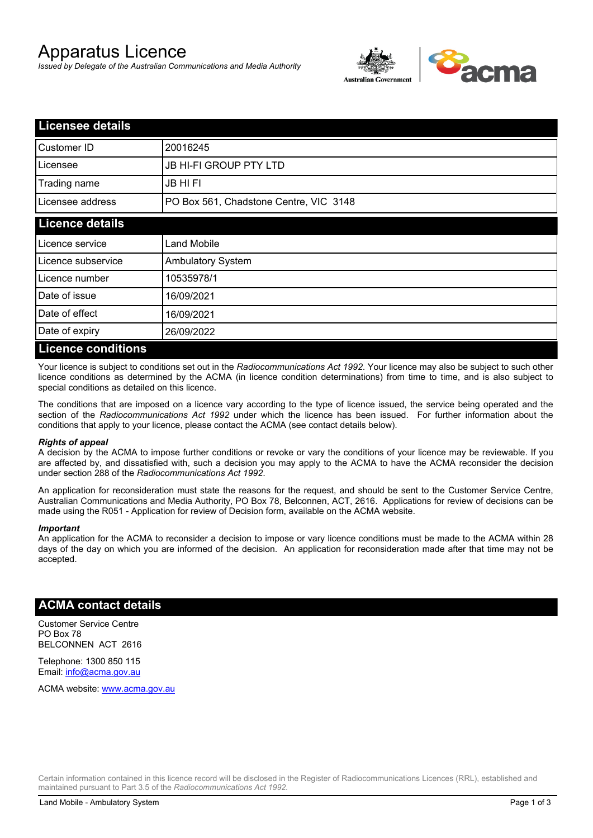# Apparatus Licence

*Issued by Delegate of the Australian Communications and Media Authority*



| <b>Licensee details</b>   |                                        |
|---------------------------|----------------------------------------|
| Customer ID               | 20016245                               |
| Licensee                  | <b>JB HI-FI GROUP PTY LTD</b>          |
| Trading name              | <b>JB HIFI</b>                         |
| Licensee address          | PO Box 561, Chadstone Centre, VIC 3148 |
| <b>Licence details</b>    |                                        |
| Licence service           | <b>Land Mobile</b>                     |
| Licence subservice        | <b>Ambulatory System</b>               |
| Licence number            | 10535978/1                             |
| Date of issue             | 16/09/2021                             |
| Date of effect            | 16/09/2021                             |
| Date of expiry            | 26/09/2022                             |
| <b>Licence conditions</b> |                                        |

Your licence is subject to conditions set out in the *Radiocommunications Act 1992*. Your licence may also be subject to such other licence conditions as determined by the ACMA (in licence condition determinations) from time to time, and is also subject to special conditions as detailed on this licence.

The conditions that are imposed on a licence vary according to the type of licence issued, the service being operated and the section of the *Radiocommunications Act 1992* under which the licence has been issued. For further information about the conditions that apply to your licence, please contact the ACMA (see contact details below).

### *Rights of appeal*

A decision by the ACMA to impose further conditions or revoke or vary the conditions of your licence may be reviewable. If you are affected by, and dissatisfied with, such a decision you may apply to the ACMA to have the ACMA reconsider the decision under section 288 of the *Radiocommunications Act 1992*.

An application for reconsideration must state the reasons for the request, and should be sent to the Customer Service Centre, Australian Communications and Media Authority, PO Box 78, Belconnen, ACT, 2616. Applications for review of decisions can be made using the R051 - Application for review of Decision form, available on the ACMA website.

#### *Important*

An application for the ACMA to reconsider a decision to impose or vary licence conditions must be made to the ACMA within 28 days of the day on which you are informed of the decision. An application for reconsideration made after that time may not be accepted.

## **ACMA contact details**

Customer Service Centre PO Box 78 BELCONNEN ACT 2616

Telephone: 1300 850 115 Email: info@acma.gov.au

ACMA website: www.acma.gov.au

Certain information contained in this licence record will be disclosed in the Register of Radiocommunications Licences (RRL), established and maintained pursuant to Part 3.5 of the *Radiocommunications Act 1992.*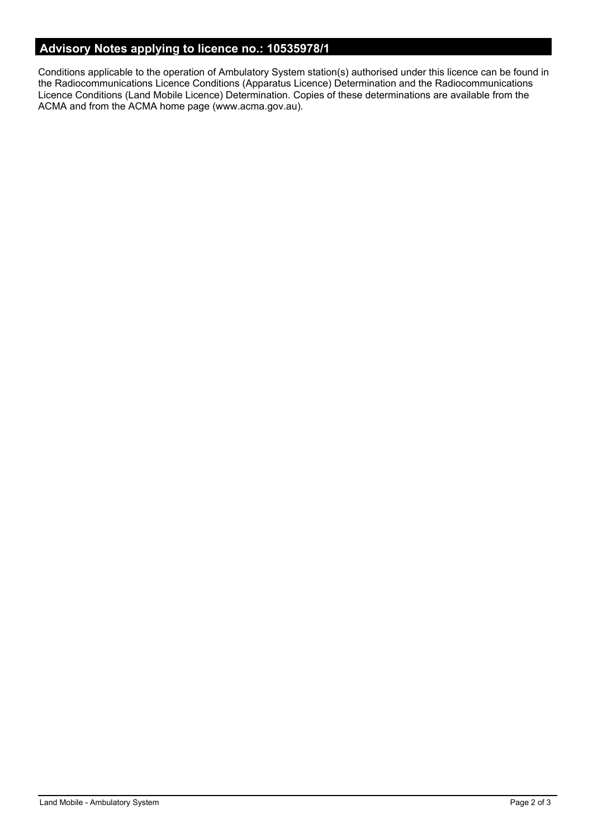# **Advisory Notes applying to licence no.: 10535978/1**

Conditions applicable to the operation of Ambulatory System station(s) authorised under this licence can be found in the Radiocommunications Licence Conditions (Apparatus Licence) Determination and the Radiocommunications Licence Conditions (Land Mobile Licence) Determination. Copies of these determinations are available from the ACMA and from the ACMA home page (www.acma.gov.au).